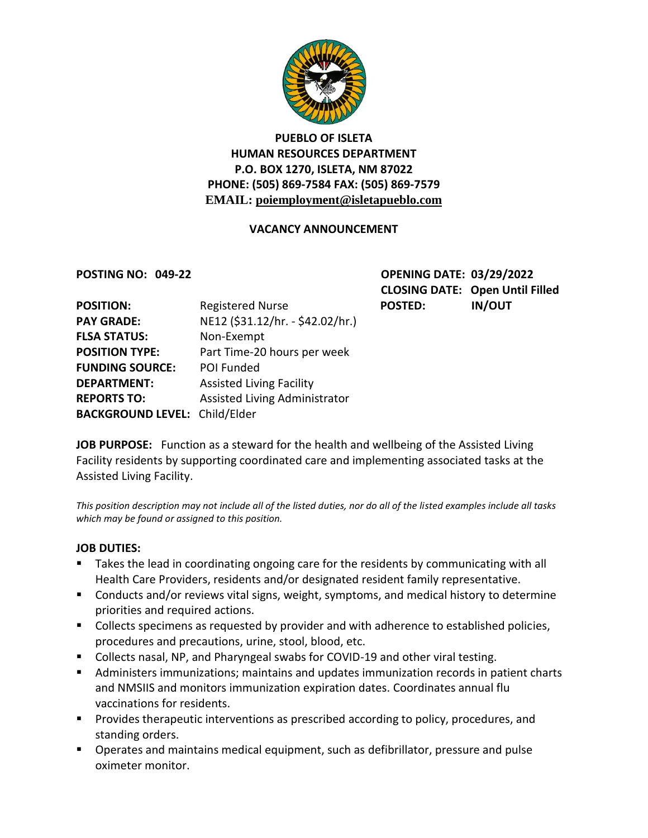

## **PUEBLO OF ISLETA HUMAN RESOURCES DEPARTMENT P.O. BOX 1270, ISLETA, NM 87022 PHONE: (505) 869-7584 FAX: (505) 869-7579 EMAIL: poiemployment@isletapueblo.com**

### **VACANCY ANNOUNCEMENT**

**POSTING NO: 049-22 OPENING DATE: 03/29/2022 CLOSING DATE: Open Until Filled**

| <b>POSITION:</b>                     | <b>Registered Nurse</b>          | <b>POSTED:</b> | <b>IN/OUT</b> |
|--------------------------------------|----------------------------------|----------------|---------------|
| <b>PAY GRADE:</b>                    | NE12 (\$31.12/hr. - \$42.02/hr.) |                |               |
| <b>FLSA STATUS:</b>                  | Non-Exempt                       |                |               |
| <b>POSITION TYPE:</b>                | Part Time-20 hours per week      |                |               |
| <b>FUNDING SOURCE:</b>               | POI Funded                       |                |               |
| <b>DEPARTMENT:</b>                   | <b>Assisted Living Facility</b>  |                |               |
| <b>REPORTS TO:</b>                   | Assisted Living Administrator    |                |               |
| <b>BACKGROUND LEVEL: Child/Elder</b> |                                  |                |               |

**JOB PURPOSE:** Function as a steward for the health and wellbeing of the Assisted Living Facility residents by supporting coordinated care and implementing associated tasks at the Assisted Living Facility.

*This position description may not include all of the listed duties, nor do all of the listed examples include all tasks which may be found or assigned to this position.*

### **JOB DUTIES:**

- Takes the lead in coordinating ongoing care for the residents by communicating with all Health Care Providers, residents and/or designated resident family representative.
- **E** Conducts and/or reviews vital signs, weight, symptoms, and medical history to determine priorities and required actions.
- **Collects specimens as requested by provider and with adherence to established policies,** procedures and precautions, urine, stool, blood, etc.
- Collects nasal, NP, and Pharyngeal swabs for COVID-19 and other viral testing.
- Administers immunizations; maintains and updates immunization records in patient charts and NMSIIS and monitors immunization expiration dates. Coordinates annual flu vaccinations for residents.
- **Provides therapeutic interventions as prescribed according to policy, procedures, and** standing orders.
- **Dearates and maintains medical equipment, such as defibrillator, pressure and pulse** oximeter monitor.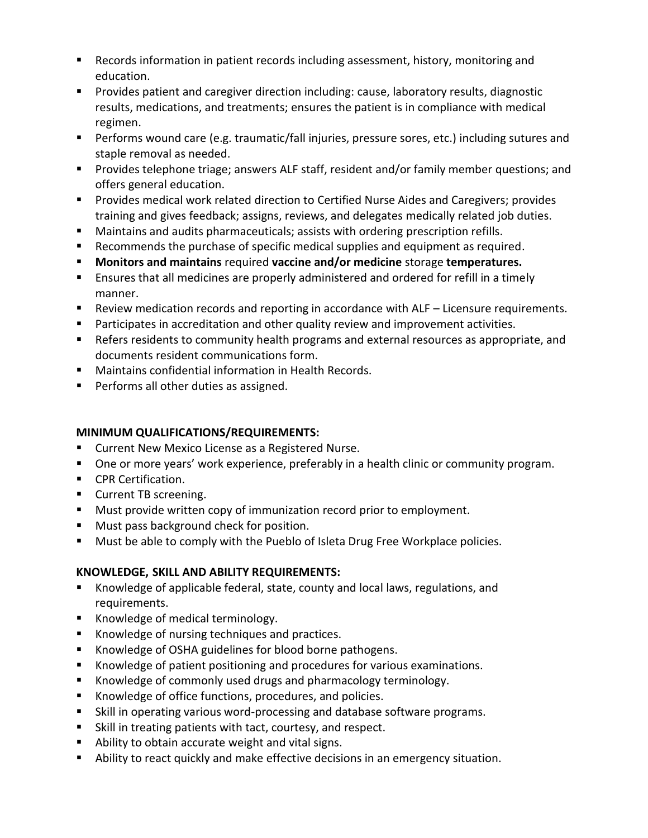- Records information in patient records including assessment, history, monitoring and education.
- **Provides patient and caregiver direction including: cause, laboratory results, diagnostic** results, medications, and treatments; ensures the patient is in compliance with medical regimen.
- **Performs wound care (e.g. traumatic/fall injuries, pressure sores, etc.) including sutures and** staple removal as needed.
- **Provides telephone triage; answers ALF staff, resident and/or family member questions; and** offers general education.
- Provides medical work related direction to Certified Nurse Aides and Caregivers; provides training and gives feedback; assigns, reviews, and delegates medically related job duties.
- Maintains and audits pharmaceuticals; assists with ordering prescription refills.
- Recommends the purchase of specific medical supplies and equipment as required.
- **Monitors and maintains** required **vaccine and/or medicine** storage **temperatures.**
- **E** Ensures that all medicines are properly administered and ordered for refill in a timely manner.
- Review medication records and reporting in accordance with ALF Licensure requirements.
- **Participates in accreditation and other quality review and improvement activities.**
- Refers residents to community health programs and external resources as appropriate, and documents resident communications form.
- Maintains confidential information in Health Records.
- **Performs all other duties as assigned.**

## **MINIMUM QUALIFICATIONS/REQUIREMENTS:**

- **E** Current New Mexico License as a Registered Nurse.
- **Diamage 1.5 To any or a standard Exercise** one one one or a non-type of an  $\blacksquare$  One or morram.
- **CPR Certification.**
- **Current TB screening.**
- **Must provide written copy of immunization record prior to employment.**
- **Must pass background check for position.**
- **Must be able to comply with the Pueblo of Isleta Drug Free Workplace policies.**

# **KNOWLEDGE, SKILL AND ABILITY REQUIREMENTS:**

- Knowledge of applicable federal, state, county and local laws, regulations, and requirements.
- Knowledge of medical terminology.
- Knowledge of nursing techniques and practices.
- Knowledge of OSHA guidelines for blood borne pathogens.
- Knowledge of patient positioning and procedures for various examinations.
- **Knowledge of commonly used drugs and pharmacology terminology.**
- Knowledge of office functions, procedures, and policies.
- Skill in operating various word-processing and database software programs.
- Skill in treating patients with tact, courtesy, and respect.
- Ability to obtain accurate weight and vital signs.
- Ability to react quickly and make effective decisions in an emergency situation.